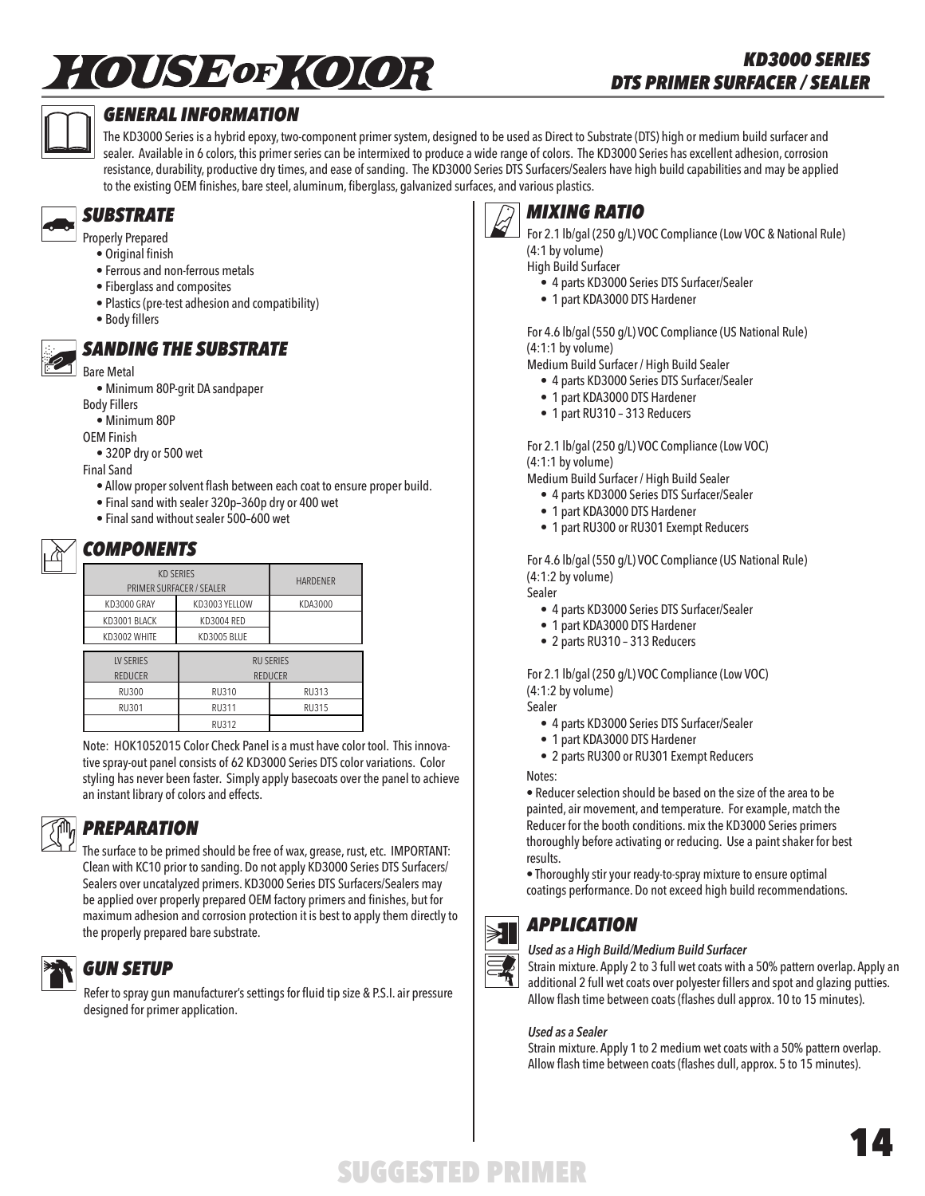# *†OSSED KOOR*



### *GENERAL INFORMATION*

The KD3000 Series is a hybrid epoxy, two-component primer system, designed to be used as Direct to Substrate (DTS) high or medium build surfacer and sealer. Available in 6 colors, this primer series can be intermixed to produce a wide range of colors. The KD3000 Series has excellent adhesion, corrosion resistance, durability, productive dry times, and ease of sanding. The KD3000 Series DTS Surfacers/Sealers have high build capabilities and may be applied to the existing OEM finishes, bare steel, aluminum, fiberglass, galvanized surfaces, and various plastics.



Properly Prepared

- Original finish
- Ferrous and non-ferrous metals
- Fiberglass and composites
- Plastics (pre-test adhesion and compatibility)
- Body fillers

### *SANDING THE SUBSTRATE*

Bare Metal

• Minimum 80P-grit DA sandpaper

Body Fillers

• Minimum 80P

OEM Finish

• 320P dry or 500 wet

Final Sand

- Allow proper solvent flash between each coat to ensure proper build.
- Final sand with sealer 320p–360p dry or 400 wet
- Final sand without sealer 500–600 wet

### *COMPONENTS*

| <b>KD SERIES</b><br>PRIMER SURFACER / SEALER | <b>HARDENER</b>   |              |  |  |
|----------------------------------------------|-------------------|--------------|--|--|
| KD3000 GRAY                                  | KD3003 YELLOW     | KDA3000      |  |  |
| KD3001 BLACK                                 | <b>KD3004 RED</b> |              |  |  |
| KD3002 WHITE                                 | KD3005 BLUE       |              |  |  |
|                                              |                   |              |  |  |
| <b>LV SERIES</b>                             | <b>RU SERIES</b>  |              |  |  |
| <b>REDUCER</b>                               | <b>REDUCER</b>    |              |  |  |
| <b>RU300</b>                                 | <b>RU310</b>      | RU313        |  |  |
| RU301                                        | <b>RU311</b>      | <b>RU315</b> |  |  |
|                                              | <b>RU312</b>      |              |  |  |

Note: HOK1052015 Color Check Panel is a must have color tool. This innovative spray-out panel consists of 62 KD3000 Series DTS color variations. Color styling has never been faster. Simply apply basecoats over the panel to achieve an instant library of colors and effects.

### *PREPARATION*

The surface to be primed should be free of wax, grease, rust, etc. IMPORTANT: Clean with KC10 prior to sanding. Do not apply KD3000 Series DTS Surfacers/ Sealers over uncatalyzed primers. KD3000 Series DTS Surfacers/Sealers may be applied over properly prepared OEM factory primers and finishes, but for maximum adhesion and corrosion protection it is best to apply them directly to the properly prepared bare substrate.

# *GUN SETUP*

Refer to spray gun manufacturer's settings for fluid tip size & P.S.I. air pressure designed for primer application.



### *MIXING RATIO*

For 2.1 lb/gal (250 g/L) VOC Compliance (Low VOC & National Rule) (4:1 by volume)

High Build Surfacer

- 4 parts KD3000 Series DTS Surfacer/Sealer
- 1 part KDA3000 DTS Hardener

For 4.6 lb/gal (550 g/L) VOC Compliance (US National Rule) (4:1:1 by volume)

Medium Build Surfacer / High Build Sealer

- 4 parts KD3000 Series DTS Surfacer/Sealer
- 1 part KDA3000 DTS Hardener
- 1 part RU310 313 Reducers

For 2.1 lb/gal (250 g/L) VOC Compliance (Low VOC) (4:1:1 by volume)

Medium Build Surfacer / High Build Sealer

- 4 parts KD3000 Series DTS Surfacer/Sealer
- 1 part KDA3000 DTS Hardener
- 1 part RU300 or RU301 Exempt Reducers

For 4.6 lb/gal (550 g/L) VOC Compliance (US National Rule) (4:1:2 by volume)

- Sealer
	- 4 parts KD3000 Series DTS Surfacer/Sealer
	- 1 part KDA3000 DTS Hardener
	- 2 parts RU310 313 Reducers

For 2.1 lb/gal (250 g/L) VOC Compliance (Low VOC) (4:1:2 by volume)

Sealer

- 4 parts KD3000 Series DTS Surfacer/Sealer
- 1 part KDA3000 DTS Hardener
- 2 parts RU300 or RU301 Exempt Reducers

Notes:

• Reducer selection should be based on the size of the area to be painted, air movement, and temperature. For example, match the Reducer for the booth conditions. mix the KD3000 Series primers thoroughly before activating or reducing. Use a paint shaker for best results.

• Thoroughly stir your ready-to-spray mixture to ensure optimal coatings performance. Do not exceed high build recommendations.



### *APPLICATION*

### *Used as a High Build/Medium Build Surfacer*

Strain mixture. Apply 2 to 3 full wet coats with a 50% pattern overlap. Apply an additional 2 full wet coats over polyester fillers and spot and glazing putties. Allow flash time between coats (flashes dull approx. 10 to 15 minutes).

### *Used as a Sealer*

Strain mixture. Apply 1 to 2 medium wet coats with a 50% pattern overlap. Allow flash time between coats (flashes dull, approx. 5 to 15 minutes).